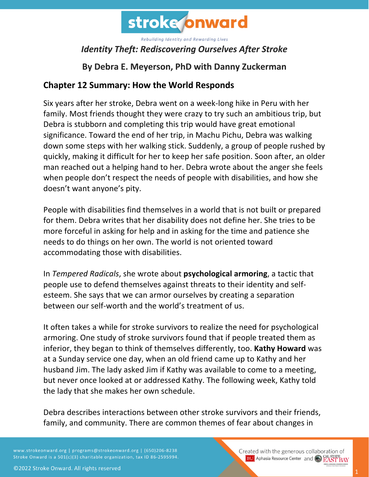

### *Identity Theft: Rediscovering Ourselves After Stroke*

## **By Debra E. Meyerson, PhD with Danny Zuckerman**

#### **Chapter 12 Summary: How the World Responds**

Six years after her stroke, Debra went on a week-long hike in Peru with her family. Most friends thought they were crazy to try such an ambitious trip, but Debra is stubborn and completing this trip would have great emotional significance. Toward the end of her trip, in Machu Pichu, Debra was walking down some steps with her walking stick. Suddenly, a group of people rushed by quickly, making it difficult for her to keep her safe position. Soon after, an older man reached out a helping hand to her. Debra wrote about the anger she feels when people don't respect the needs of people with disabilities, and how she doesn't want anyone's pity.

People with disabilities find themselves in a world that is not built or prepared for them. Debra writes that her disability does not define her. She tries to be more forceful in asking for help and in asking for the time and patience she needs to do things on her own. The world is not oriented toward accommodating those with disabilities.

In *Tempered Radicals*, she wrote about **psychological armoring**, a tactic that people use to defend themselves against threats to their identity and selfesteem. She says that we can armor ourselves by creating a separation between our self-worth and the world's treatment of us.

It often takes a while for stroke survivors to realize the need for psychological armoring. One study of stroke survivors found that if people treated them as inferior, they began to think of themselves differently, too. **Kathy Howard** was at a Sunday service one day, when an old friend came up to Kathy and her husband Jim. The lady asked Jim if Kathy was available to come to a meeting, but never once looked at or addressed Kathy. The following week, Kathy told the lady that she makes her own schedule.

Debra describes interactions between other stroke survivors and their friends, family, and community. There are common themes of fear about changes in

www.strokeonward.org | programs@strokeonward.org | (650)206-8238 Stroke Onward is a 501(c)(3) charitable organization, tax ID 86-2595994.

Created with the generous collaboration of **BU** Aphasia Resource Center and **COL STATE BAY**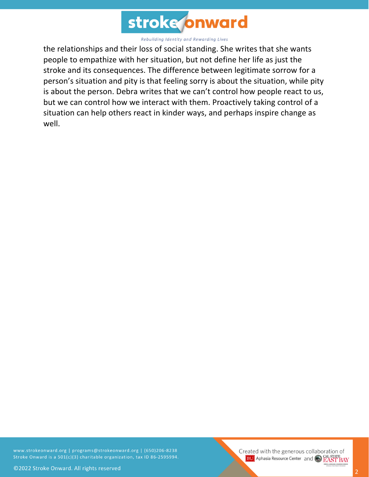

the relationships and their loss of social standing. She writes that she wants people to empathize with her situation, but not define her life as just the stroke and its consequences. The difference between legitimate sorrow for a person's situation and pity is that feeling sorry is about the situation, while pity is about the person. Debra writes that we can't control how people react to us, but we can control how we interact with them. Proactively taking control of a situation can help others react in kinder ways, and perhaps inspire change as well.

www.strokeonward.org | programs@strokeonward.org | (650)206-8238 Stroke Onward is a 501(c)(3) charitable organization, tax ID 86-2595994.

Created with the generous collaboration of **BU** Aphasia Resource Center and **COL STATE**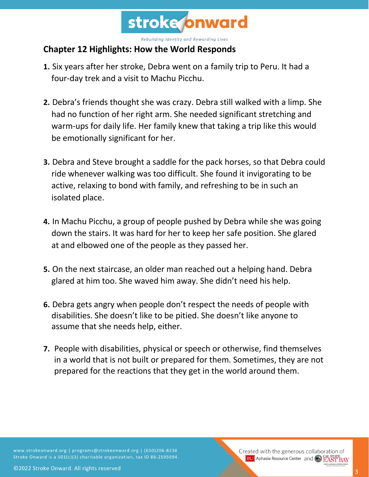

#### **Chapter 12 Highlights: How the World Responds**

- **1.** Six years after her stroke, Debra went on a family trip to Peru. It had a four-day trek and a visit to Machu Picchu.
- **2.** Debra's friends thought she was crazy. Debra still walked with a limp. She had no function of her right arm. She needed significant stretching and warm-ups for daily life. Her family knew that taking a trip like this would be emotionally significant for her.
- **3.** Debra and Steve brought a saddle for the pack horses, so that Debra could ride whenever walking was too difficult. She found it invigorating to be active, relaxing to bond with family, and refreshing to be in such an isolated place.
- **4.** In Machu Picchu, a group of people pushed by Debra while she was going down the stairs. It was hard for her to keep her safe position. She glared at and elbowed one of the people as they passed her.
- **5.** On the next staircase, an older man reached out a helping hand. Debra glared at him too. She waved him away. She didn't need his help.
- **6.** Debra gets angry when people don't respect the needs of people with disabilities. She doesn't like to be pitied. She doesn't like anyone to assume that she needs help, either.
- **7.** People with disabilities, physical or speech or otherwise, find themselves in a world that is not built or prepared for them. Sometimes, they are not prepared for the reactions that they get in the world around them.

www.strokeonward.org | programs@strokeonward.org | (650)206-8238 Stroke Onward is a 501(c)(3) charitable organization, tax ID 86-2595994.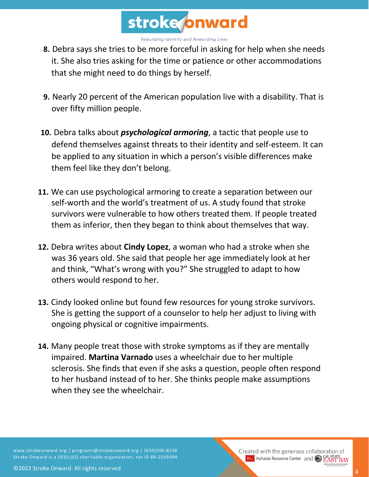

- **8.** Debra says she tries to be more forceful in asking for help when she needs it. She also tries asking for the time or patience or other accommodations that she might need to do things by herself.
- **9.** Nearly 20 percent of the American population live with a disability. That is over fifty million people.
- **10.** Debra talks about *psychological armoring*, a tactic that people use to defend themselves against threats to their identity and self-esteem. It can be applied to any situation in which a person's visible differences make them feel like they don't belong.
- **11.** We can use psychological armoring to create a separation between our self-worth and the world's treatment of us. A study found that stroke survivors were vulnerable to how others treated them. If people treated them as inferior, then they began to think about themselves that way.
- **12.** Debra writes about **Cindy Lopez**, a woman who had a stroke when she was 36 years old. She said that people her age immediately look at her and think, "What's wrong with you?" She struggled to adapt to how others would respond to her.
- **13.** Cindy looked online but found few resources for young stroke survivors. She is getting the support of a counselor to help her adjust to living with ongoing physical or cognitive impairments.
- **14.** Many people treat those with stroke symptoms as if they are mentally impaired. **Martina Varnado** uses a wheelchair due to her multiple sclerosis. She finds that even if she asks a question, people often respond to her husband instead of to her. She thinks people make assumptions when they see the wheelchair.

www.strokeonward.org | programs@strokeonward.org | (650)206-8238 Stroke Onward is a 501(c)(3) charitable organization, tax ID 86-2595994.

Created with the generous collaboration of **BU** Aphasia Resource Center and **CAL STATE**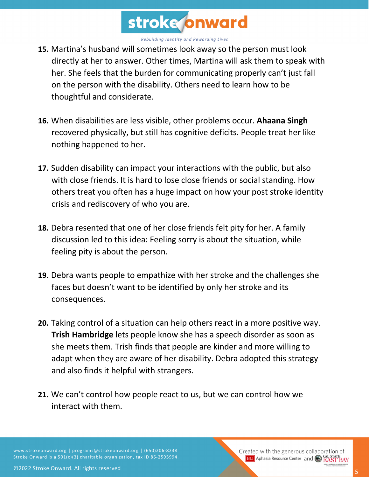

- **15.** Martina's husband will sometimes look away so the person must look directly at her to answer. Other times, Martina will ask them to speak with her. She feels that the burden for communicating properly can't just fall on the person with the disability. Others need to learn how to be thoughtful and considerate.
- **16.** When disabilities are less visible, other problems occur. **Ahaana Singh** recovered physically, but still has cognitive deficits. People treat her like nothing happened to her.
- **17.** Sudden disability can impact your interactions with the public, but also with close friends. It is hard to lose close friends or social standing. How others treat you often has a huge impact on how your post stroke identity crisis and rediscovery of who you are.
- **18.** Debra resented that one of her close friends felt pity for her. A family discussion led to this idea: Feeling sorry is about the situation, while feeling pity is about the person.
- **19.** Debra wants people to empathize with her stroke and the challenges she faces but doesn't want to be identified by only her stroke and its consequences.
- **20.** Taking control of a situation can help others react in a more positive way. **Trish Hambridge** lets people know she has a speech disorder as soon as she meets them. Trish finds that people are kinder and more willing to adapt when they are aware of her disability. Debra adopted this strategy and also finds it helpful with strangers.
- **21.** We can't control how people react to us, but we can control how we interact with them.

www.strokeonward.org | programs@strokeonward.org | (650)206-8238 Stroke Onward is a 501(c)(3) charitable organization, tax ID 86-2595994.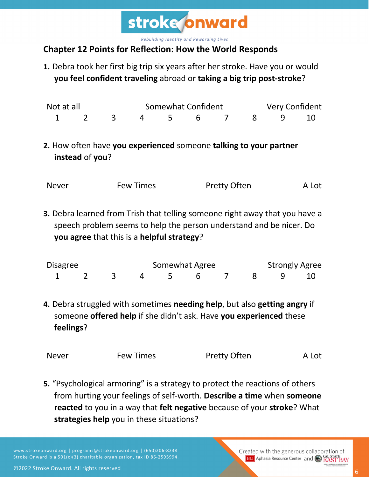

# **Chapter 12 Points for Reflection: How the World Responds**

**1.** Debra took her first big trip six years after her stroke. Have you or would **you feel confident traveling** abroad or **taking a big trip post-stroke**?

| Not at all |  |  | Somewhat Confident |  |                      |  | <b>Very Confident</b> |  |  |
|------------|--|--|--------------------|--|----------------------|--|-----------------------|--|--|
|            |  |  |                    |  | 1 2 3 4 5 6 7 8 9 10 |  |                       |  |  |

**2.** How often have **you experienced** someone **talking to your partner instead** of **you**?

|  | <b>Never</b> | <b>Few Times</b> | <b>Pretty Often</b> | A Lot |
|--|--------------|------------------|---------------------|-------|
|--|--------------|------------------|---------------------|-------|

**3.** Debra learned from Trish that telling someone right away that you have a speech problem seems to help the person understand and be nicer. Do **you agree** that this is a **helpful strategy**?

| <b>Disagree</b> |  |  | Somewhat Agree |  |                      |  | <b>Strongly Agree</b> |  |  |  |
|-----------------|--|--|----------------|--|----------------------|--|-----------------------|--|--|--|
|                 |  |  |                |  | 1 2 3 4 5 6 7 8 9 10 |  |                       |  |  |  |

**4.** Debra struggled with sometimes **needing help**, but also **getting angry** if someone **offered help** if she didn't ask. Have **you experienced** these **feelings**?

| <b>Never</b> | <b>Few Times</b> | <b>Pretty Often</b> | A Lot |
|--------------|------------------|---------------------|-------|
|              |                  |                     |       |

**5.** "Psychological armoring" is a strategy to protect the reactions of others from hurting your feelings of self-worth. **Describe a time** when **someone reacted** to you in a way that **felt negative** because of your **stroke**? What **strategies help** you in these situations?

www.strokeonward.org | programs@strokeonward.org | (650)206-8238 Stroke Onward is a 501(c)(3) charitable organization, tax ID 86-2595994. Created with the generous collaboration of **BU** Aphasia Resource Center and **CAL STATE BAY**